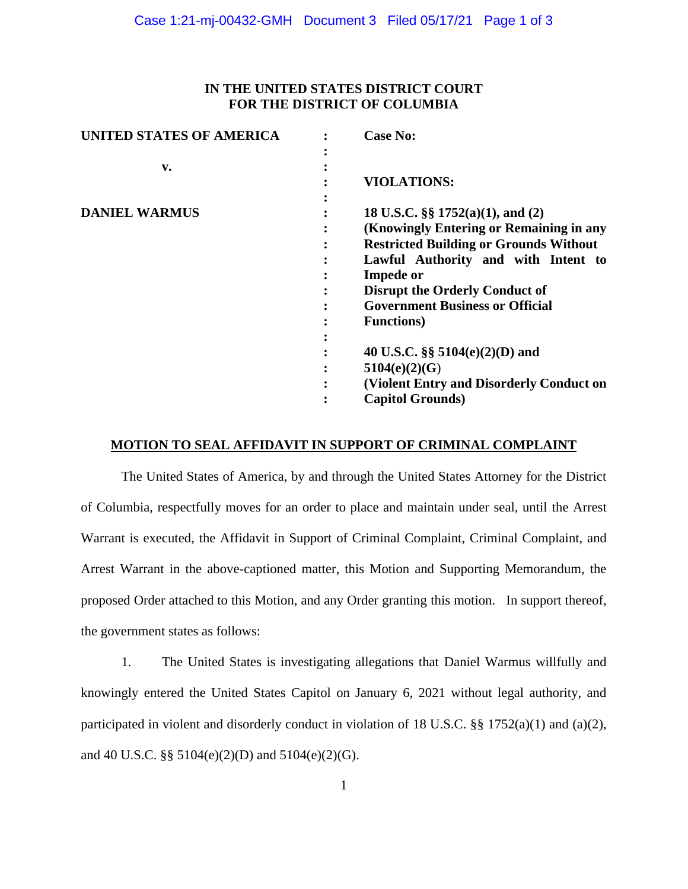# **IN THE UNITED STATES DISTRICT COURT FOR THE DISTRICT OF COLUMBIA**

| v.<br><b>VIOLATIONS:</b><br><b>DANIEL WARMUS</b><br>18 U.S.C. $\S$ 1752(a)(1), and (2)<br>(Knowingly Entering or Remaining in any<br><b>Restricted Building or Grounds Without</b><br>Lawful Authority and with Intent to<br><b>Impede or</b><br><b>Disrupt the Orderly Conduct of</b><br><b>Government Business or Official</b><br><b>Functions</b> )<br>40 U.S.C. §§ $5104(e)(2)(D)$ and<br>5104(e)(2)(G)<br>(Violent Entry and Disorderly Conduct on<br><b>Capitol Grounds</b> ) | <b>UNITED STATES OF AMERICA</b> | <b>Case No:</b> |
|-------------------------------------------------------------------------------------------------------------------------------------------------------------------------------------------------------------------------------------------------------------------------------------------------------------------------------------------------------------------------------------------------------------------------------------------------------------------------------------|---------------------------------|-----------------|
|                                                                                                                                                                                                                                                                                                                                                                                                                                                                                     |                                 |                 |
|                                                                                                                                                                                                                                                                                                                                                                                                                                                                                     |                                 |                 |
|                                                                                                                                                                                                                                                                                                                                                                                                                                                                                     |                                 |                 |
|                                                                                                                                                                                                                                                                                                                                                                                                                                                                                     |                                 |                 |
|                                                                                                                                                                                                                                                                                                                                                                                                                                                                                     |                                 |                 |
|                                                                                                                                                                                                                                                                                                                                                                                                                                                                                     |                                 |                 |
|                                                                                                                                                                                                                                                                                                                                                                                                                                                                                     |                                 |                 |
|                                                                                                                                                                                                                                                                                                                                                                                                                                                                                     |                                 |                 |
|                                                                                                                                                                                                                                                                                                                                                                                                                                                                                     |                                 |                 |
|                                                                                                                                                                                                                                                                                                                                                                                                                                                                                     |                                 |                 |
|                                                                                                                                                                                                                                                                                                                                                                                                                                                                                     |                                 |                 |
|                                                                                                                                                                                                                                                                                                                                                                                                                                                                                     |                                 |                 |
|                                                                                                                                                                                                                                                                                                                                                                                                                                                                                     |                                 |                 |
|                                                                                                                                                                                                                                                                                                                                                                                                                                                                                     |                                 |                 |
|                                                                                                                                                                                                                                                                                                                                                                                                                                                                                     |                                 |                 |
|                                                                                                                                                                                                                                                                                                                                                                                                                                                                                     |                                 |                 |
|                                                                                                                                                                                                                                                                                                                                                                                                                                                                                     |                                 |                 |

### **MOTION TO SEAL AFFIDAVIT IN SUPPORT OF CRIMINAL COMPLAINT**

The United States of America, by and through the United States Attorney for the District of Columbia, respectfully moves for an order to place and maintain under seal, until the Arrest Warrant is executed, the Affidavit in Support of Criminal Complaint, Criminal Complaint, and Arrest Warrant in the above-captioned matter, this Motion and Supporting Memorandum, the proposed Order attached to this Motion, and any Order granting this motion. In support thereof, the government states as follows:

1. The United States is investigating allegations that Daniel Warmus willfully and knowingly entered the United States Capitol on January 6, 2021 without legal authority, and participated in violent and disorderly conduct in violation of 18 U.S.C. §§ 1752(a)(1) and (a)(2), and 40 U.S.C. §§ 5104(e)(2)(D) and 5104(e)(2)(G).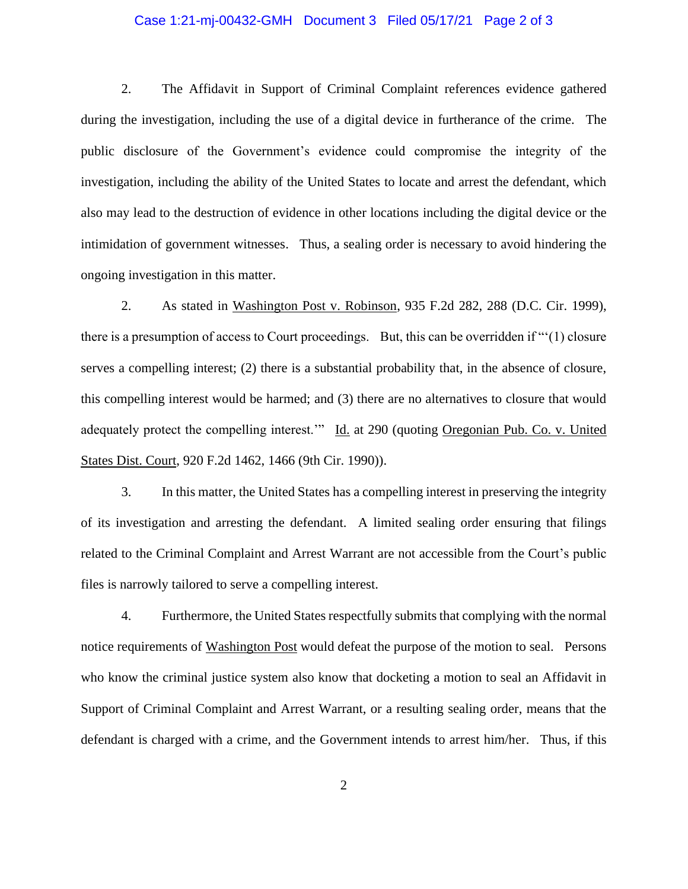### Case 1:21-mj-00432-GMH Document 3 Filed 05/17/21 Page 2 of 3

2. The Affidavit in Support of Criminal Complaint references evidence gathered during the investigation, including the use of a digital device in furtherance of the crime. The public disclosure of the Government's evidence could compromise the integrity of the investigation, including the ability of the United States to locate and arrest the defendant, which also may lead to the destruction of evidence in other locations including the digital device or the intimidation of government witnesses. Thus, a sealing order is necessary to avoid hindering the ongoing investigation in this matter.

2. As stated in Washington Post v. Robinson, 935 F.2d 282, 288 (D.C. Cir. 1999), there is a presumption of access to Court proceedings. But, this can be overridden if "'(1) closure serves a compelling interest; (2) there is a substantial probability that, in the absence of closure, this compelling interest would be harmed; and (3) there are no alternatives to closure that would adequately protect the compelling interest." Id. at 290 (quoting Oregonian Pub. Co. v. United States Dist. Court, 920 F.2d 1462, 1466 (9th Cir. 1990)).

3. In this matter, the United States has a compelling interest in preserving the integrity of its investigation and arresting the defendant. A limited sealing order ensuring that filings related to the Criminal Complaint and Arrest Warrant are not accessible from the Court's public files is narrowly tailored to serve a compelling interest.

4. Furthermore, the United States respectfully submits that complying with the normal notice requirements of Washington Post would defeat the purpose of the motion to seal. Persons who know the criminal justice system also know that docketing a motion to seal an Affidavit in Support of Criminal Complaint and Arrest Warrant, or a resulting sealing order, means that the defendant is charged with a crime, and the Government intends to arrest him/her. Thus, if this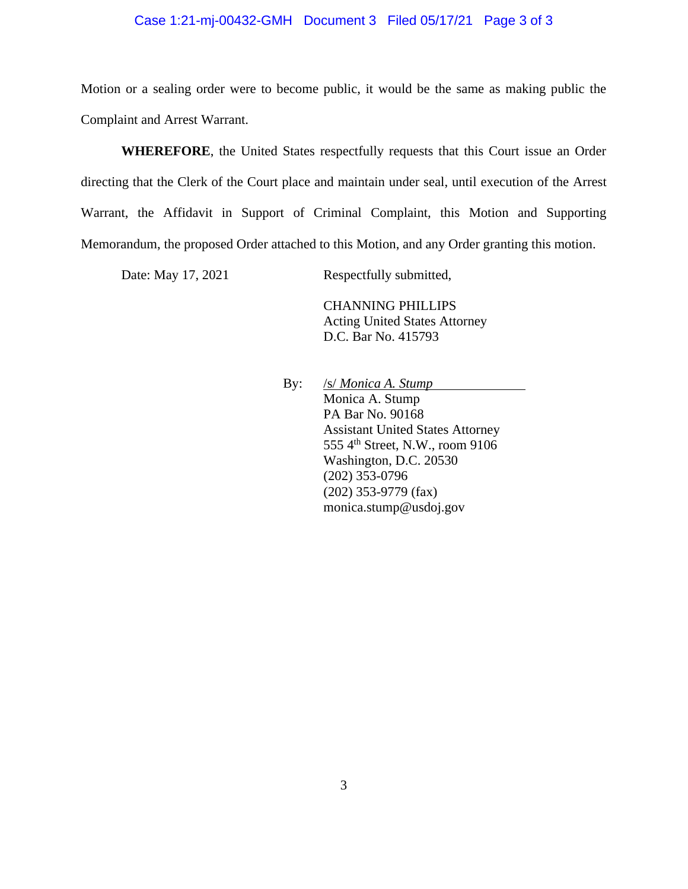### Case 1:21-mj-00432-GMH Document 3 Filed 05/17/21 Page 3 of 3

Motion or a sealing order were to become public, it would be the same as making public the Complaint and Arrest Warrant.

**WHEREFORE**, the United States respectfully requests that this Court issue an Order directing that the Clerk of the Court place and maintain under seal, until execution of the Arrest Warrant, the Affidavit in Support of Criminal Complaint, this Motion and Supporting Memorandum, the proposed Order attached to this Motion, and any Order granting this motion.

Date: May 17, 2021 Respectfully submitted,

CHANNING PHILLIPS Acting United States Attorney D.C. Bar No. 415793

By: /s/*Monica A. Stump* Monica A. Stump PA Bar No. 90168 Assistant United States Attorney 555 4<sup>th</sup> Street, N.W., room 9106 Washington, D.C. 20530 (202) 353-0796 (202) 353-9779 (fax) monica.stump@usdoj.gov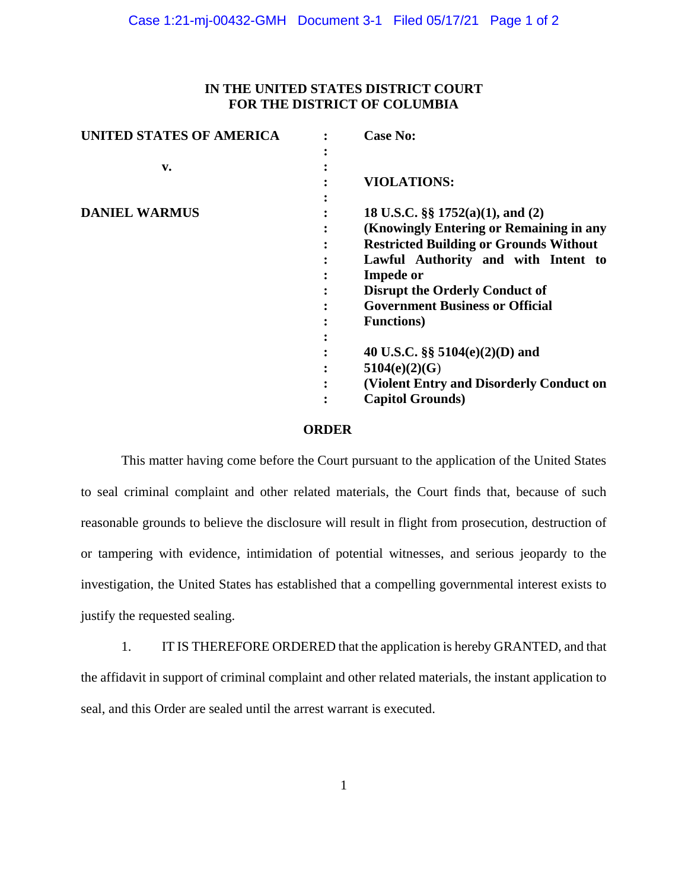# **IN THE UNITED STATES DISTRICT COURT FOR THE DISTRICT OF COLUMBIA**

| <b>UNITED STATES OF AMERICA</b> |   | <b>Case No:</b>                               |
|---------------------------------|---|-----------------------------------------------|
|                                 |   |                                               |
| v.                              |   |                                               |
|                                 |   | <b>VIOLATIONS:</b>                            |
|                                 |   |                                               |
| <b>DANIEL WARMUS</b>            |   | 18 U.S.C. $\S$ 1752(a)(1), and (2)            |
|                                 |   | (Knowingly Entering or Remaining in any       |
|                                 | ٠ | <b>Restricted Building or Grounds Without</b> |
|                                 |   | Lawful Authority and with Intent to           |
|                                 |   | <b>Impede or</b>                              |
|                                 |   | <b>Disrupt the Orderly Conduct of</b>         |
|                                 |   | <b>Government Business or Official</b>        |
|                                 |   | <b>Functions</b> )                            |
|                                 |   |                                               |
|                                 |   | 40 U.S.C. §§ $5104(e)(2)(D)$ and              |
|                                 |   | 5104(e)(2)(G)                                 |
|                                 |   | (Violent Entry and Disorderly Conduct on      |
|                                 |   | <b>Capitol Grounds</b> )                      |

#### **ORDER**

This matter having come before the Court pursuant to the application of the United States to seal criminal complaint and other related materials, the Court finds that, because of such reasonable grounds to believe the disclosure will result in flight from prosecution, destruction of or tampering with evidence, intimidation of potential witnesses, and serious jeopardy to the investigation, the United States has established that a compelling governmental interest exists to justify the requested sealing.

1. IT IS THEREFORE ORDERED that the application is hereby GRANTED, and that the affidavit in support of criminal complaint and other related materials, the instant application to seal, and this Order are sealed until the arrest warrant is executed.